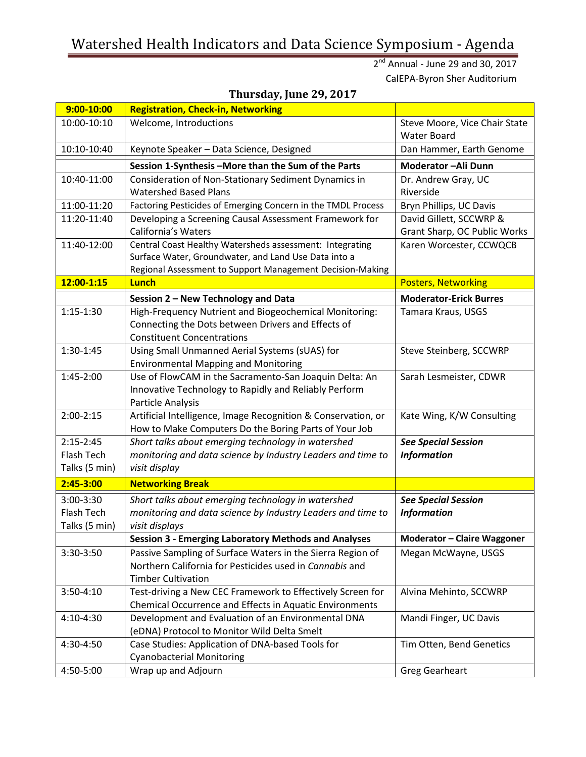## Watershed Health Indicators and Data Science Symposium - Agenda

2<sup>nd</sup> Annual - June 29 and 30, 2017 CalEPA-Byron Sher Auditorium

| $9:00 - 10:00$ | <b>Registration, Check-in, Networking</b>                                                                         |                                                     |
|----------------|-------------------------------------------------------------------------------------------------------------------|-----------------------------------------------------|
| 10:00-10:10    | Welcome, Introductions                                                                                            | Steve Moore, Vice Chair State<br><b>Water Board</b> |
| 10:10-10:40    | Keynote Speaker - Data Science, Designed                                                                          | Dan Hammer, Earth Genome                            |
|                | Session 1-Synthesis - More than the Sum of the Parts                                                              | Moderator-Ali Dunn                                  |
| 10:40-11:00    | Consideration of Non-Stationary Sediment Dynamics in                                                              | Dr. Andrew Gray, UC                                 |
|                | <b>Watershed Based Plans</b>                                                                                      | Riverside                                           |
| 11:00-11:20    | Factoring Pesticides of Emerging Concern in the TMDL Process                                                      | Bryn Phillips, UC Davis                             |
| 11:20-11:40    | Developing a Screening Causal Assessment Framework for                                                            | David Gillett, SCCWRP &                             |
|                | <b>California's Waters</b>                                                                                        | Grant Sharp, OC Public Works                        |
| 11:40-12:00    | Central Coast Healthy Watersheds assessment: Integrating                                                          | Karen Worcester, CCWQCB                             |
|                | Surface Water, Groundwater, and Land Use Data into a<br>Regional Assessment to Support Management Decision-Making |                                                     |
| 12:00-1:15     | Lunch                                                                                                             | <b>Posters, Networking</b>                          |
|                |                                                                                                                   |                                                     |
| $1:15-1:30$    | Session 2 - New Technology and Data                                                                               | <b>Moderator-Erick Burres</b><br>Tamara Kraus, USGS |
|                | High-Frequency Nutrient and Biogeochemical Monitoring:<br>Connecting the Dots between Drivers and Effects of      |                                                     |
|                | <b>Constituent Concentrations</b>                                                                                 |                                                     |
| 1:30-1:45      | Using Small Unmanned Aerial Systems (sUAS) for                                                                    | Steve Steinberg, SCCWRP                             |
|                | <b>Environmental Mapping and Monitoring</b>                                                                       |                                                     |
| 1:45-2:00      | Use of FlowCAM in the Sacramento-San Joaquin Delta: An                                                            | Sarah Lesmeister, CDWR                              |
|                | Innovative Technology to Rapidly and Reliably Perform                                                             |                                                     |
|                | Particle Analysis                                                                                                 |                                                     |
| $2:00 - 2:15$  | Artificial Intelligence, Image Recognition & Conservation, or                                                     | Kate Wing, K/W Consulting                           |
|                | How to Make Computers Do the Boring Parts of Your Job                                                             |                                                     |
| $2:15 - 2:45$  | Short talks about emerging technology in watershed                                                                | <b>See Special Session</b>                          |
| Flash Tech     | monitoring and data science by Industry Leaders and time to                                                       | <b>Information</b>                                  |
| Talks (5 min)  | visit display                                                                                                     |                                                     |
| $2:45 - 3:00$  | <b>Networking Break</b>                                                                                           |                                                     |
| 3:00-3:30      | Short talks about emerging technology in watershed                                                                | <b>See Special Session</b>                          |
| Flash Tech     | monitoring and data science by Industry Leaders and time to                                                       | <b>Information</b>                                  |
| Talks (5 min)  | visit displays                                                                                                    |                                                     |
|                | <b>Session 3 - Emerging Laboratory Methods and Analyses</b>                                                       | <b>Moderator - Claire Waggoner</b>                  |
| 3:30-3:50      | Passive Sampling of Surface Waters in the Sierra Region of                                                        | Megan McWayne, USGS                                 |
|                | Northern California for Pesticides used in Cannabis and                                                           |                                                     |
| 3:50-4:10      | <b>Timber Cultivation</b><br>Test-driving a New CEC Framework to Effectively Screen for                           | Alvina Mehinto, SCCWRP                              |
|                | Chemical Occurrence and Effects in Aquatic Environments                                                           |                                                     |
| 4:10-4:30      | Development and Evaluation of an Environmental DNA                                                                | Mandi Finger, UC Davis                              |
|                | (eDNA) Protocol to Monitor Wild Delta Smelt                                                                       |                                                     |
| 4:30-4:50      | Case Studies: Application of DNA-based Tools for                                                                  | Tim Otten, Bend Genetics                            |
|                | <b>Cyanobacterial Monitoring</b>                                                                                  |                                                     |
| 4:50-5:00      | Wrap up and Adjourn                                                                                               | <b>Greg Gearheart</b>                               |

## **Thursday, June 29, 2017**